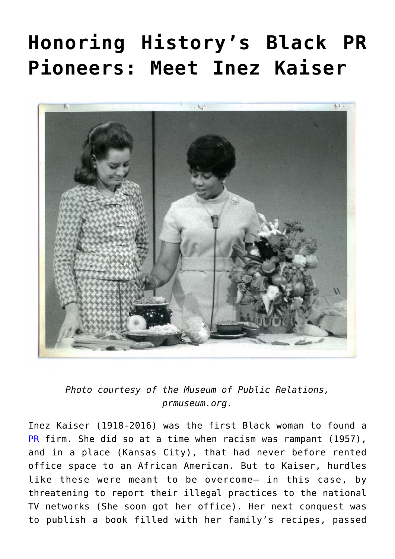## **[Honoring History's Black PR](https://www.commpro.biz/inez-kaiser-a-pr-pioneer/) [Pioneers: Meet Inez Kaiser](https://www.commpro.biz/inez-kaiser-a-pr-pioneer/)**



*Photo courtesy of the Museum of Public Relations, [prmuseum.org](http://prmuseum.org/).*

Inez Kaiser (1918-2016) was the first Black woman to found a [PR](https://www.commpro.biz/as-we-celebrate-the-birthday-of-dr-martin-luther-king-jr/) firm. She did so at a time when racism was rampant (1957), and in a place (Kansas City), that had never before rented office space to an African American. But to Kaiser, hurdles like these were meant to be overcome– in this case, by threatening to report their illegal practices to the national TV networks (She soon got her office). Her next conquest was to publish a book filled with her family's recipes, passed